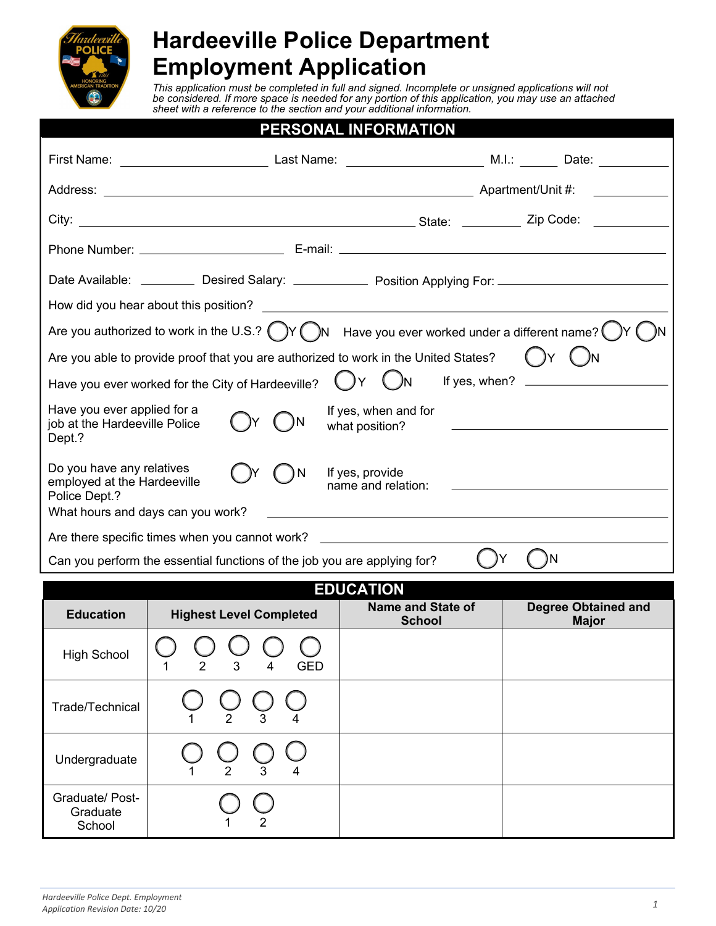

# **Hardeeville Police Department Employment Application**

*This application must be completed in full and signed. Incomplete or unsigned applications will not be considered. If more space is needed for any portion of this application, you may use an attached sheet with a reference to the section and your additional information.*

|                                                                                                                      | PERSONAL INFORMATION                                                                                                                                      |
|----------------------------------------------------------------------------------------------------------------------|-----------------------------------------------------------------------------------------------------------------------------------------------------------|
|                                                                                                                      |                                                                                                                                                           |
|                                                                                                                      |                                                                                                                                                           |
|                                                                                                                      |                                                                                                                                                           |
|                                                                                                                      |                                                                                                                                                           |
|                                                                                                                      | Date Available: __________ Desired Salary: _____________ Position Applying For: __________________________                                                |
|                                                                                                                      |                                                                                                                                                           |
|                                                                                                                      | Are you authorized to work in the U.S.? $\bigcirc$ Y $\bigcirc$ Have you ever worked under a different name?                                              |
| Are you able to provide proof that you are authorized to work in the United States?                                  | $(\ )$ Y                                                                                                                                                  |
| Have you ever worked for the City of Hardeeville?                                                                    | ()Y<br>If yes, when?                                                                                                                                      |
| Have you ever applied for a<br>job at the Hardeeville Police<br>Dept.?                                               | If yes, when and for<br>what position?<br>the control of the control of the control of the control of the control of                                      |
| Do you have any relatives<br>١N<br>employed at the Hardeeville<br>Police Dept.?<br>What hours and days can you work? | If yes, provide<br>name and relation:<br>and the control of the control of the control of the control of the control of the control of the control of the |
| Are there specific times when you cannot work?                                                                       |                                                                                                                                                           |
| Can you perform the essential functions of the job you are applying for?                                             | ١N                                                                                                                                                        |

| <b>EDUCATION</b>                      |                                                                                                                           |  |  |  |  |  |
|---------------------------------------|---------------------------------------------------------------------------------------------------------------------------|--|--|--|--|--|
| <b>Education</b>                      | <b>Name and State of</b><br><b>Degree Obtained and</b><br><b>Highest Level Completed</b><br><b>School</b><br><b>Major</b> |  |  |  |  |  |
| <b>High School</b>                    | <b>GED</b><br>2<br>3<br>4                                                                                                 |  |  |  |  |  |
| Trade/Technical                       | 3<br>$\overline{2}$                                                                                                       |  |  |  |  |  |
| Undergraduate                         | 2<br>3<br>4                                                                                                               |  |  |  |  |  |
| Graduate/ Post-<br>Graduate<br>School | 2                                                                                                                         |  |  |  |  |  |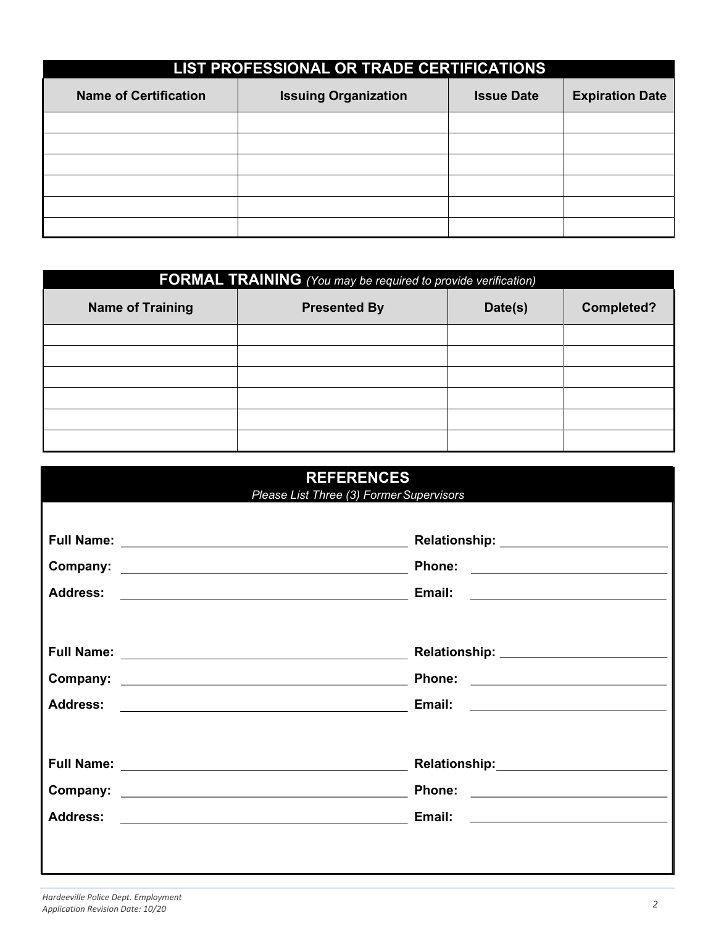|                              | LIST PROFESSIONAL OR TRADE CERTIFICATIONS |                   |                        |  |
|------------------------------|-------------------------------------------|-------------------|------------------------|--|
| <b>Name of Certification</b> | <b>Issuing Organization</b>               | <b>Issue Date</b> | <b>Expiration Date</b> |  |
|                              |                                           |                   |                        |  |
|                              |                                           |                   |                        |  |
|                              |                                           |                   |                        |  |
|                              |                                           |                   |                        |  |
|                              |                                           |                   |                        |  |
|                              |                                           |                   |                        |  |

|                         | <b>FORMAL TRAINING</b> (You may be required to provide verification) |         |                   |  |
|-------------------------|----------------------------------------------------------------------|---------|-------------------|--|
| <b>Name of Training</b> | <b>Presented By</b>                                                  | Date(s) | <b>Completed?</b> |  |
|                         |                                                                      |         |                   |  |
|                         |                                                                      |         |                   |  |
|                         |                                                                      |         |                   |  |
|                         |                                                                      |         |                   |  |
|                         |                                                                      |         |                   |  |
|                         |                                                                      |         |                   |  |

| <b>REFERENCES</b><br>Please List Three (3) Former Supervisors |                                          |  |
|---------------------------------------------------------------|------------------------------------------|--|
|                                                               |                                          |  |
|                                                               | Phone: <u>__________________________</u> |  |
|                                                               |                                          |  |
|                                                               |                                          |  |
|                                                               |                                          |  |
|                                                               |                                          |  |
|                                                               |                                          |  |
|                                                               |                                          |  |
|                                                               |                                          |  |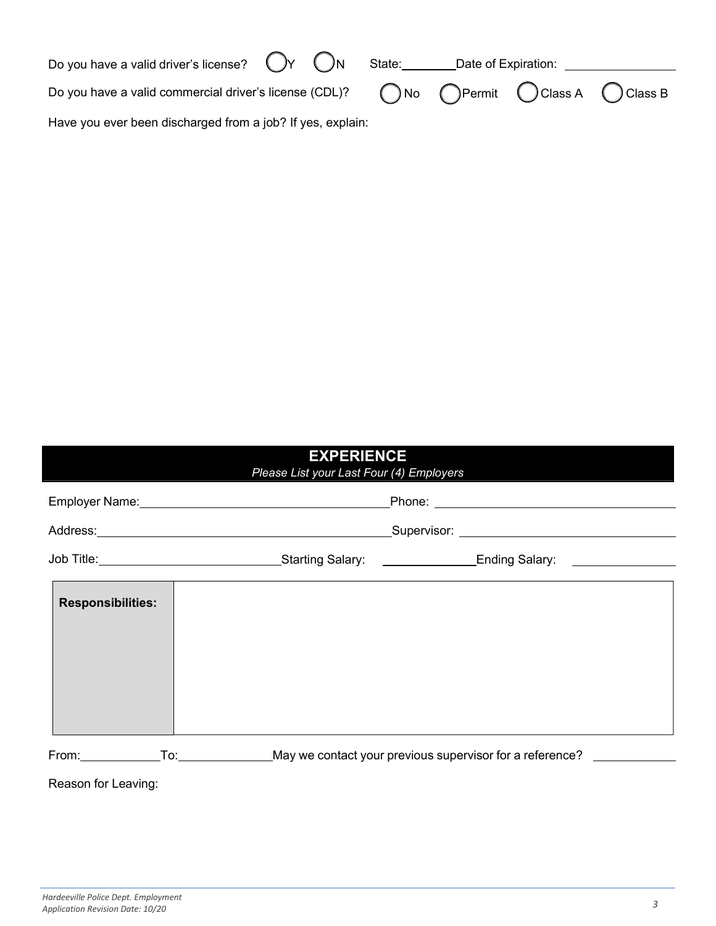| Do you have a valid driver's license? $\bigcirc Y$ $\bigcirc N$ State:                                                       |  |  | Date of Expiration: |  |
|------------------------------------------------------------------------------------------------------------------------------|--|--|---------------------|--|
| Do you have a valid commercial driver's license (CDL)? $\bigcirc$ No $\bigcirc$ Permit $\bigcirc$ Class A $\bigcirc$ Class B |  |  |                     |  |
| Have you ever been discharged from a job? If yes, explain:                                                                   |  |  |                     |  |

| <b>EXPERIENCE</b><br>Please List your Last Four (4) Employers |                                                                                                                |                                                                        |  |
|---------------------------------------------------------------|----------------------------------------------------------------------------------------------------------------|------------------------------------------------------------------------|--|
|                                                               |                                                                                                                |                                                                        |  |
|                                                               | Supervisor: Supervisor: Supervisor: Supervisor: Supervisor: Supervisor: Supervisor: Supervisor: Supervisor: Su |                                                                        |  |
|                                                               |                                                                                                                |                                                                        |  |
| <b>Responsibilities:</b>                                      |                                                                                                                |                                                                        |  |
|                                                               |                                                                                                                | From: To: To: May we contact your previous supervisor for a reference? |  |
| Reason for Leaving:                                           |                                                                                                                |                                                                        |  |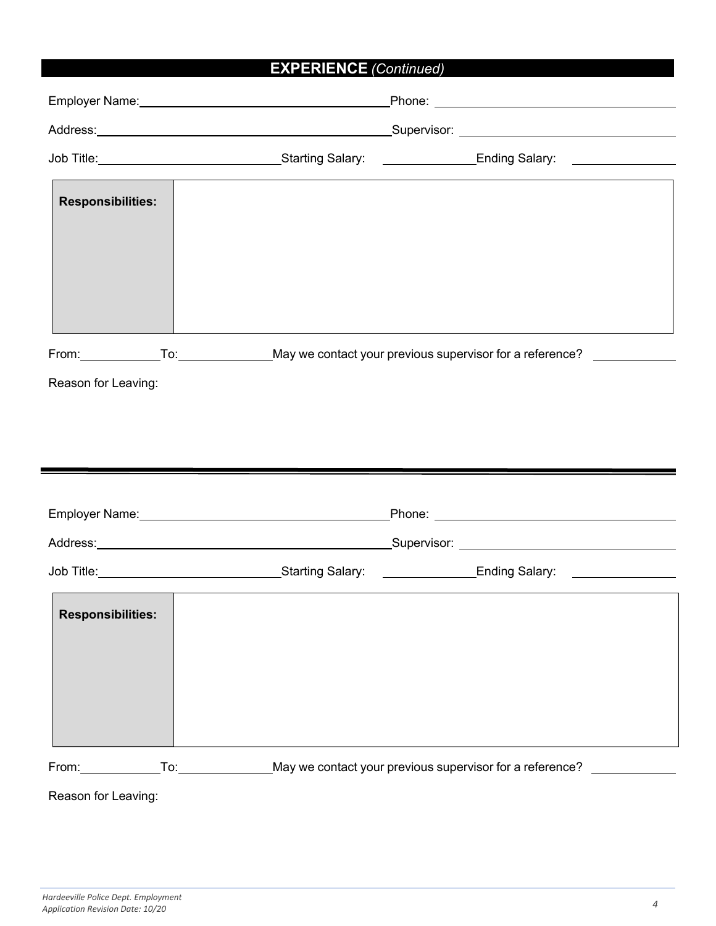# **EXPERIENCE** *(Continued)*

|                                                                        | Job Title: <u>_________________________________</u> Starting Salary: _________________Ending Salary: ________________                                                                                                          |
|------------------------------------------------------------------------|--------------------------------------------------------------------------------------------------------------------------------------------------------------------------------------------------------------------------------|
| <b>Responsibilities:</b>                                               |                                                                                                                                                                                                                                |
|                                                                        | From: To: To: Nay we contact your previous supervisor for a reference? The Tom To:                                                                                                                                             |
| Reason for Leaving:                                                    |                                                                                                                                                                                                                                |
|                                                                        |                                                                                                                                                                                                                                |
|                                                                        |                                                                                                                                                                                                                                |
|                                                                        | and the contract of the contract of the contract of the contract of the contract of the contract of the contract of                                                                                                            |
|                                                                        | Employer Name: Name: Name: Name: Name: Name: Name: Name: Name: Name: Name: Name: Name: Name: Name: Name: Name: Name: Name: Name: Name: Name: Name: Name: Name: Name: Name: Name: Name: Name: Name: Name: Name: Name: Name: Nam |
|                                                                        |                                                                                                                                                                                                                                |
|                                                                        |                                                                                                                                                                                                                                |
| <b>Responsibilities:</b>                                               |                                                                                                                                                                                                                                |
| From: To: To: Nay we contact your previous supervisor for a reference? |                                                                                                                                                                                                                                |
| Reason for Leaving:                                                    |                                                                                                                                                                                                                                |

*Hardeeville Police Dept. Employment Application Revision Date: 10/20 4*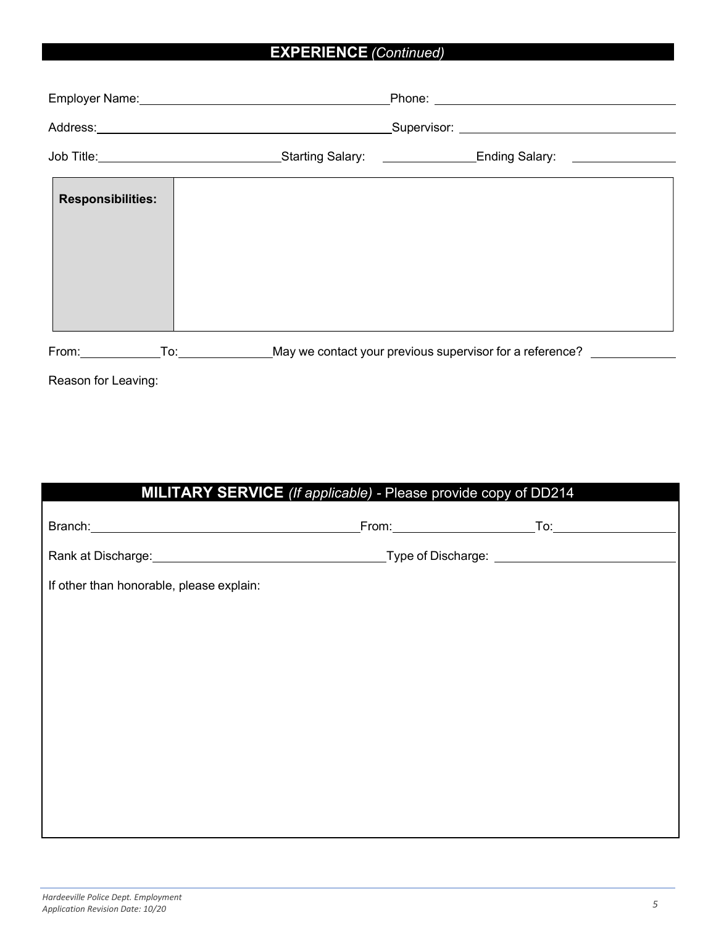## **EXPERIENCE** *(Continued)*

|                                                                                                                                                                                                                                      | Address: <u>www.community.community.com</u> |  |                                                              |
|--------------------------------------------------------------------------------------------------------------------------------------------------------------------------------------------------------------------------------------|---------------------------------------------|--|--------------------------------------------------------------|
| Job Title: <u>New York: New York: New York: New York: New York: New York: New York: New York: New York: New York: New York: New York: New York: New York: New York: New York: New York: New York: New York: New York: New York: </u> |                                             |  |                                                              |
| <b>Responsibilities:</b>                                                                                                                                                                                                             |                                             |  |                                                              |
| From: $\frac{1}{\sqrt{1-\frac{1}{2}}\cdot\frac{1}{2}}$                                                                                                                                                                               |                                             |  | To: May we contact your previous supervisor for a reference? |

Reason for Leaving:

| MILITARY SERVICE (If applicable) - Please provide copy of DD214 |  |
|-----------------------------------------------------------------|--|
|                                                                 |  |
|                                                                 |  |
| If other than honorable, please explain:                        |  |
|                                                                 |  |
|                                                                 |  |
|                                                                 |  |
|                                                                 |  |
|                                                                 |  |
|                                                                 |  |
|                                                                 |  |
|                                                                 |  |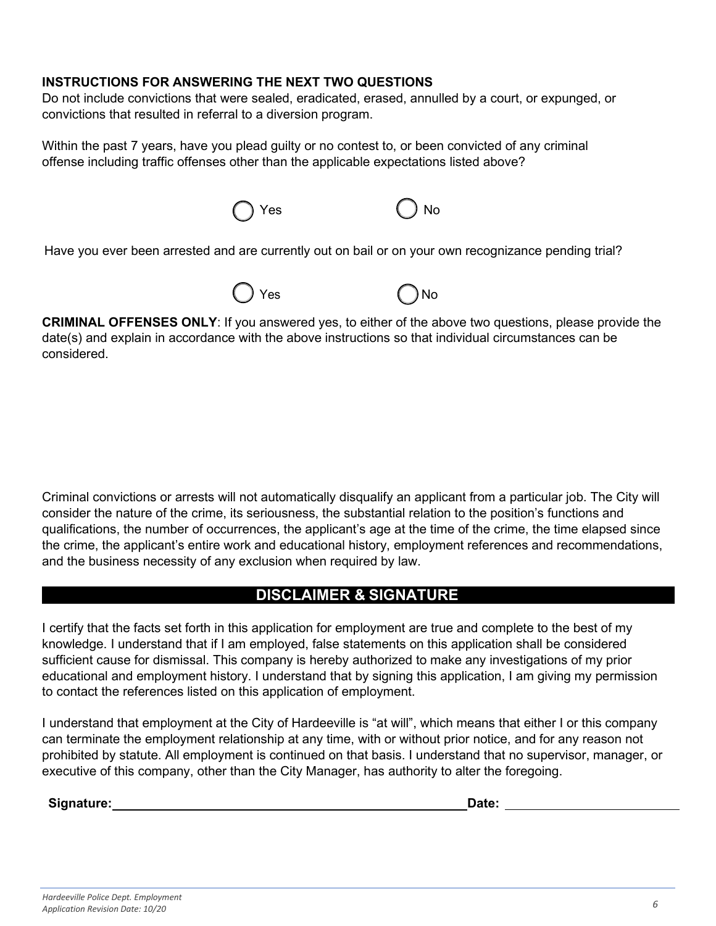#### **INSTRUCTIONS FOR ANSWERING THE NEXT TWO QUESTIONS**

Do not include convictions that were sealed, eradicated, erased, annulled by a court, or expunged, or convictions that resulted in referral to a diversion program.

Within the past 7 years, have you plead guilty or no contest to, or been convicted of any criminal offense including traffic offenses other than the applicable expectations listed above?

Yes No

Have you ever been arrested and are currently out on bail or on your own recognizance pending trial?





**CRIMINAL OFFENSES ONLY**: If you answered yes, to either of the above two questions, please provide the date(s) and explain in accordance with the above instructions so that individual circumstances can be considered.

Criminal convictions or arrests will not automatically disqualify an applicant from a particular job. The City will consider the nature of the crime, its seriousness, the substantial relation to the position's functions and qualifications, the number of occurrences, the applicant's age at the time of the crime, the time elapsed since the crime, the applicant's entire work and educational history, employment references and recommendations, and the business necessity of any exclusion when required by law.

## **DISCLAIMER & SIGNATURE**

I certify that the facts set forth in this application for employment are true and complete to the best of my knowledge. I understand that if I am employed, false statements on this application shall be considered sufficient cause for dismissal. This company is hereby authorized to make any investigations of my prior educational and employment history. I understand that by signing this application, I am giving my permission to contact the references listed on this application of employment.

I understand that employment at the City of Hardeeville is "at will", which means that either I or this company can terminate the employment relationship at any time, with or without prior notice, and for any reason not prohibited by statute. All employment is continued on that basis. I understand that no supervisor, manager, or executive of this company, other than the City Manager, has authority to alter the foregoing.

**Signature: Date: Date: Date: Date: Date: Date: Date: Date: Date: Date: Date: Date: Date: Date: Date: Date: Date: Date: Date: Date: Date: Date: Date: Date: Date: Date:**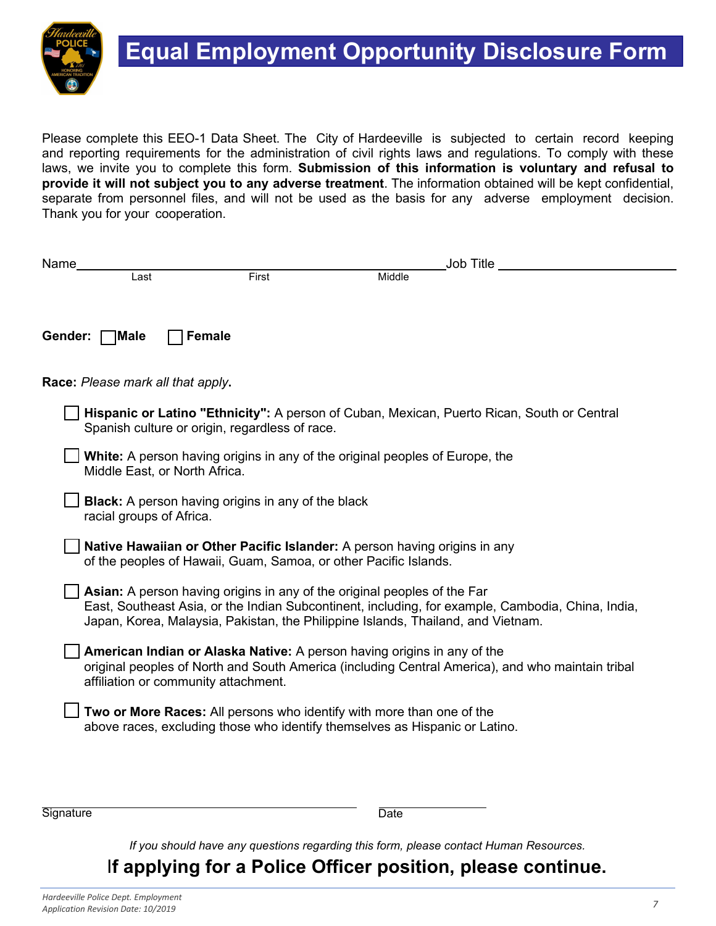

Please complete this EEO-1 Data Sheet. The City of Hardeeville is subjected to certain record keeping and reporting requirements for the administration of civil rights laws and regulations. To comply with these laws, we invite you to complete this form. **Submission of this information is voluntary and refusal to provide it will not subject you to any adverse treatment**. The information obtained will be kept confidential, separate from personnel files, and will not be used as the basis for any adverse employment decision. Thank you for your cooperation.

| Name    |                                      |                                                                                                                                                              |        | Job Title                                                                                         |
|---------|--------------------------------------|--------------------------------------------------------------------------------------------------------------------------------------------------------------|--------|---------------------------------------------------------------------------------------------------|
|         | Last                                 | First                                                                                                                                                        | Middle |                                                                                                   |
|         |                                      |                                                                                                                                                              |        |                                                                                                   |
| Gender: | Male]                                | <b>Female</b>                                                                                                                                                |        |                                                                                                   |
|         | Race: Please mark all that apply.    |                                                                                                                                                              |        |                                                                                                   |
|         |                                      | Spanish culture or origin, regardless of race.                                                                                                               |        | Hispanic or Latino "Ethnicity": A person of Cuban, Mexican, Puerto Rican, South or Central        |
|         | Middle East, or North Africa.        | <b>White:</b> A person having origins in any of the original peoples of Europe, the                                                                          |        |                                                                                                   |
|         | racial groups of Africa.             | <b>Black:</b> A person having origins in any of the black                                                                                                    |        |                                                                                                   |
|         |                                      | Native Hawaiian or Other Pacific Islander: A person having origins in any<br>of the peoples of Hawaii, Guam, Samoa, or other Pacific Islands.                |        |                                                                                                   |
|         |                                      | Asian: A person having origins in any of the original peoples of the Far<br>Japan, Korea, Malaysia, Pakistan, the Philippine Islands, Thailand, and Vietnam. |        | East, Southeast Asia, or the Indian Subcontinent, including, for example, Cambodia, China, India, |
|         | affiliation or community attachment. | American Indian or Alaska Native: A person having origins in any of the                                                                                      |        | original peoples of North and South America (including Central America), and who maintain tribal  |
|         |                                      | Two or More Races: All persons who identify with more than one of the<br>above races, excluding those who identify themselves as Hispanic or Latino.         |        |                                                                                                   |
|         |                                      |                                                                                                                                                              |        |                                                                                                   |

Signature Date

*If you should have any questions regarding this form, please contact Human Resources.*

# I**f applying for a Police Officer position, please continue.**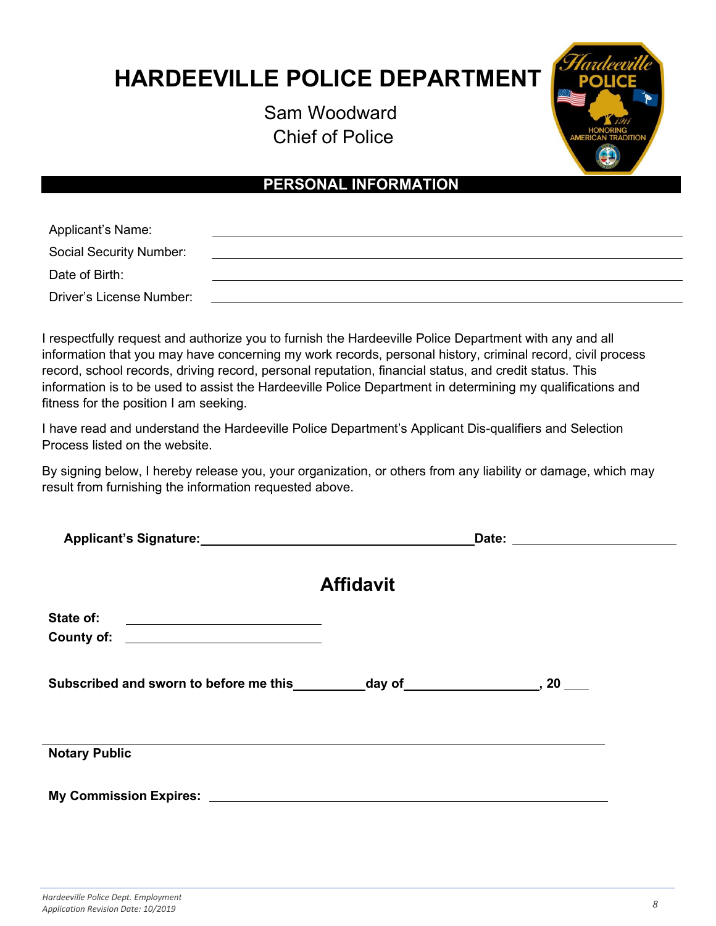# **HARDEEVILLE POLICE DEPARTMENT**

Sam Woodward Chief of Police



## **PERSONAL INFORMATION**

| Applicant's Name:              |  |
|--------------------------------|--|
| <b>Social Security Number:</b> |  |
| Date of Birth:                 |  |
| Driver's License Number:       |  |

I respectfully request and authorize you to furnish the Hardeeville Police Department with any and all information that you may have concerning my work records, personal history, criminal record, civil process record, school records, driving record, personal reputation, financial status, and credit status. This information is to be used to assist the Hardeeville Police Department in determining my qualifications and fitness for the position I am seeking.

I have read and understand the Hardeeville Police Department's Applicant Dis-qualifiers and Selection Process listed on the website.

By signing below, I hereby release you, your organization, or others from any liability or damage, which may result from furnishing the information requested above.

| Applicant's Signature: Applicant by School and School and School and School and School and School and School and School and School and School and School and School and School and School and School and School and School and | Date:<br><u> 1989 - Andrea Stadt Britain, fransk politik (</u> |  |  |
|--------------------------------------------------------------------------------------------------------------------------------------------------------------------------------------------------------------------------------|----------------------------------------------------------------|--|--|
|                                                                                                                                                                                                                                | <b>Affidavit</b>                                               |  |  |
| State of:<br><u> 1989 - Johann Barnett, fransk politiker (d. 1989)</u>                                                                                                                                                         |                                                                |  |  |
| County of:<br><u> 1989 - Andrea Barbara, poeta espainiar político e a filosofono de la provincia de la provincia de la provincia</u>                                                                                           |                                                                |  |  |
|                                                                                                                                                                                                                                |                                                                |  |  |
| Subscribed and sworn to before me this ___________ day of ______________________, 20                                                                                                                                           |                                                                |  |  |
|                                                                                                                                                                                                                                |                                                                |  |  |
|                                                                                                                                                                                                                                |                                                                |  |  |
| <b>Notary Public</b>                                                                                                                                                                                                           |                                                                |  |  |
| My Commission Expires: No. 1996. The Commission Expires: No. 1997. The Commission Expires: No. 1997.                                                                                                                           |                                                                |  |  |
|                                                                                                                                                                                                                                |                                                                |  |  |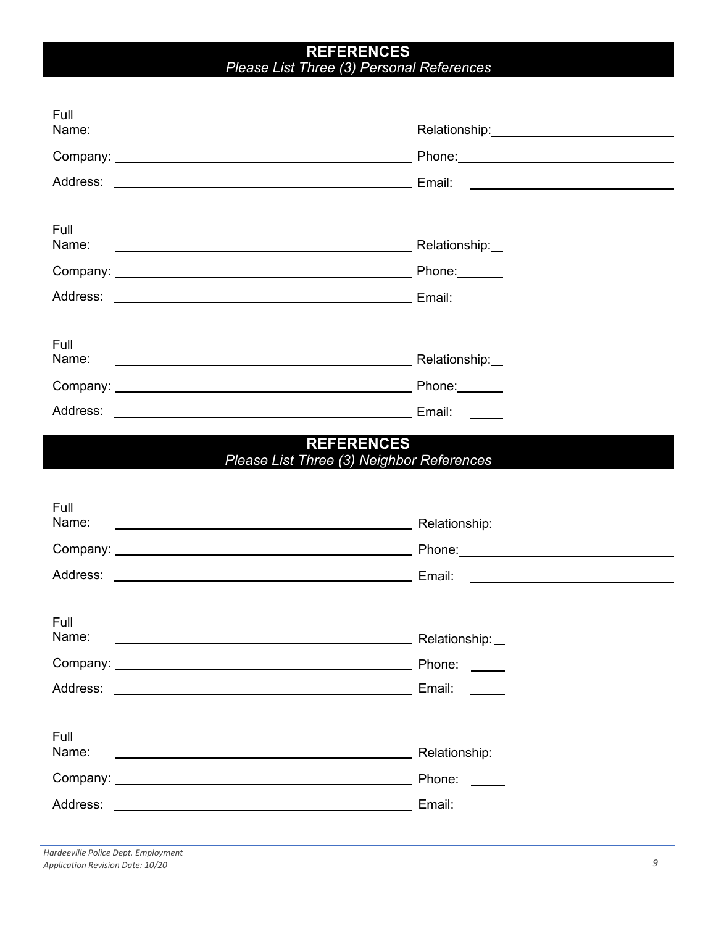### **REFERENCES** *Please List Three (3) Personal References*

| Full<br>Name:                                                                                                                                      |                                           |
|----------------------------------------------------------------------------------------------------------------------------------------------------|-------------------------------------------|
|                                                                                                                                                    |                                           |
|                                                                                                                                                    |                                           |
| Full<br>Name:                                                                                                                                      |                                           |
|                                                                                                                                                    |                                           |
|                                                                                                                                                    |                                           |
| Full<br>Name:                                                                                                                                      |                                           |
|                                                                                                                                                    | Email:                                    |
| Full<br>Name:                                                                                                                                      | Please List Three (3) Neighbor References |
|                                                                                                                                                    |                                           |
|                                                                                                                                                    |                                           |
| Full<br>Name:<br>Address:<br><u> 1989 - Johann Harry Harry Harry Harry Harry Harry Harry Harry Harry Harry Harry Harry Harry Harry Harry Harry</u> | Relationship:<br>Phone:<br>Email:         |
| Full<br>Name:<br><u> 1989 - Johann Stein, marwolaethau a bhann an t-Amhainn an t-Amhainn an t-Amhainn an t-Amhainn an t-Amhainn an</u>             | Relationship:                             |
|                                                                                                                                                    | Phone:                                    |
|                                                                                                                                                    | Email: <b>Exercise Email</b>              |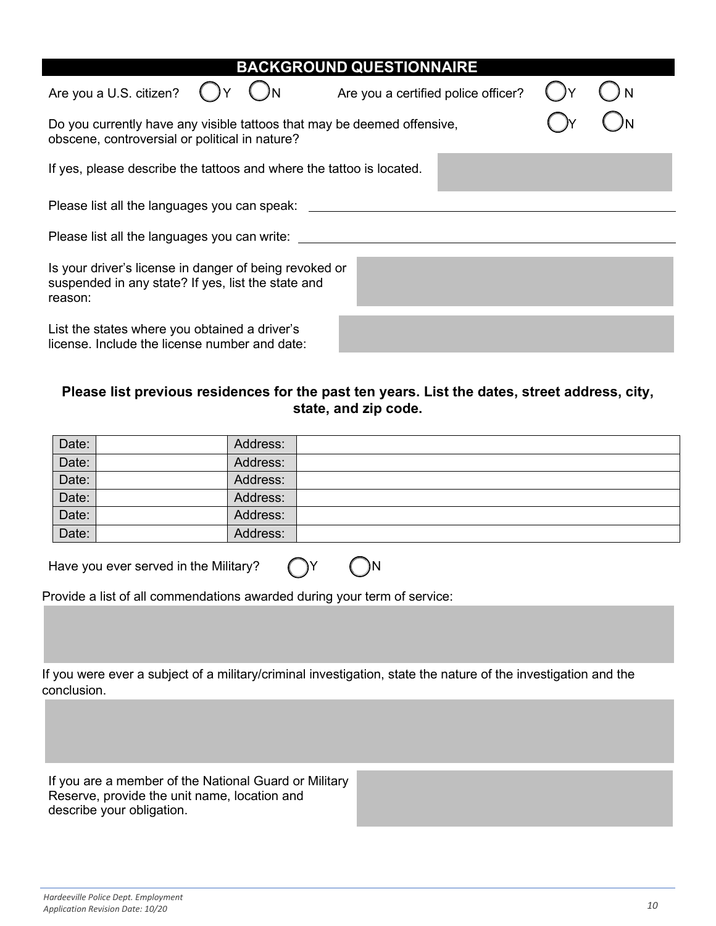| <b>BACKGROUND QUESTIONNAIRE</b>                                                                                           |                                     |  |  |  |  |  |
|---------------------------------------------------------------------------------------------------------------------------|-------------------------------------|--|--|--|--|--|
| Are you a U.S. citizen?                                                                                                   | Are you a certified police officer? |  |  |  |  |  |
| Do you currently have any visible tattoos that may be deemed offensive,<br>obscene, controversial or political in nature? |                                     |  |  |  |  |  |
| If yes, please describe the tattoos and where the tattoo is located.                                                      |                                     |  |  |  |  |  |
| Please list all the languages you can speak:                                                                              |                                     |  |  |  |  |  |
| Please list all the languages you can write:                                                                              |                                     |  |  |  |  |  |
| Is your driver's license in danger of being revoked or<br>suspended in any state? If yes, list the state and<br>reason:   |                                     |  |  |  |  |  |
| List the states where you obtained a driver's<br>license. Include the license number and date:                            |                                     |  |  |  |  |  |

### **Please list previous residences for the past ten years. List the dates, street address, city, state, and zip code.**

| Date: | Address: |
|-------|----------|
| Date: | Address: |
| Date: | Address: |
| Date: | Address: |
| Date: | Address: |
| Date: | Address: |

Have you ever served in the Military?  $\bigcap Y$  ()N

Provide a list of all commendations awarded during your term of service:

If you were ever a subject of a military/criminal investigation, state the nature of the investigation and the conclusion.

If you are a member of the National Guard or Military Reserve, provide the unit name, location and describe your obligation.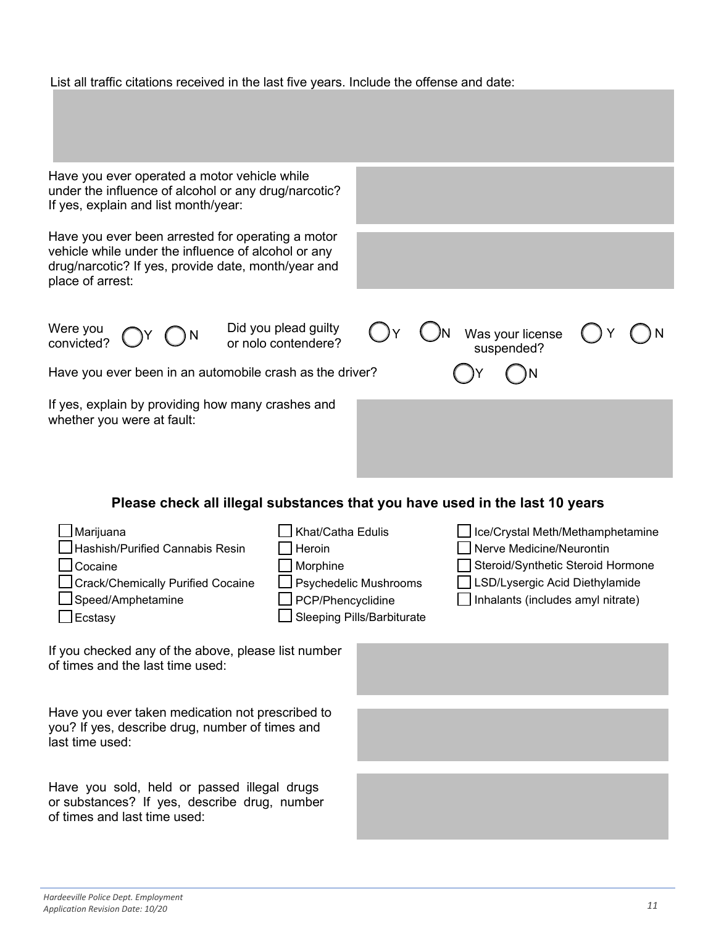#### List all traffic citations received in the last five years. Include the offense and date:

| Have you ever operated a motor vehicle while<br>under the influence of alcohol or any drug/narcotic?<br>If yes, explain and list month/year:                                        |                                                                                                                            |  |                                                                                                                                                                          |  |  |
|-------------------------------------------------------------------------------------------------------------------------------------------------------------------------------------|----------------------------------------------------------------------------------------------------------------------------|--|--------------------------------------------------------------------------------------------------------------------------------------------------------------------------|--|--|
| Have you ever been arrested for operating a motor<br>vehicle while under the influence of alcohol or any<br>drug/narcotic? If yes, provide date, month/year and<br>place of arrest: |                                                                                                                            |  |                                                                                                                                                                          |  |  |
| Were you<br>convicted?<br>Have you ever been in an automobile crash as the driver?                                                                                                  | Did you plead guilty<br>or nolo contendere?                                                                                |  | Was your license<br>suspended?                                                                                                                                           |  |  |
| If yes, explain by providing how many crashes and<br>whether you were at fault:                                                                                                     |                                                                                                                            |  |                                                                                                                                                                          |  |  |
| Please check all illegal substances that you have used in the last 10 years                                                                                                         |                                                                                                                            |  |                                                                                                                                                                          |  |  |
| Marijuana<br>Hashish/Purified Cannabis Resin<br>Cocaine<br>Crack/Chemically Purified Cocaine<br>Speed/Amphetamine<br>Ecstasy                                                        | Khat/Catha Edulis<br>Heroin<br>Morphine<br>Psychedelic Mushrooms<br>PCP/Phencyclidine<br><b>Sleeping Pills/Barbiturate</b> |  | Ice/Crystal Meth/Methamphetamine<br>Nerve Medicine/Neurontin<br>Steroid/Synthetic Steroid Hormone<br>LSD/Lysergic Acid Diethylamide<br>Inhalants (includes amyl nitrate) |  |  |
| If you checked any of the above, please list number<br>of times and the last time used:                                                                                             |                                                                                                                            |  |                                                                                                                                                                          |  |  |
| Hous you over taken modication not proporibed to                                                                                                                                    |                                                                                                                            |  |                                                                                                                                                                          |  |  |

Have you ever taken medication not prescribed to you? If yes, describe drug, number of times and last time used:

Have you sold, held or passed illegal drugs or substances? If yes, describe drug, number of times and last time used:

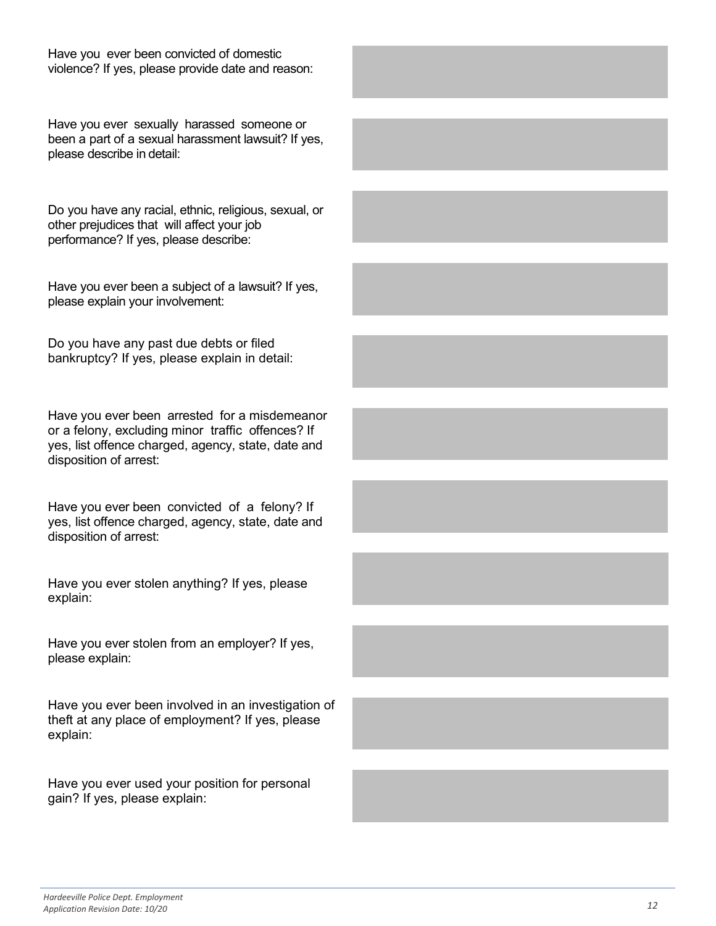Have you ever sexually harassed someone or been a part of a sexual harassment lawsuit? If yes, please describe in detail:

Do you have any racial, ethnic, religious, sexual, or other prejudices that will affect your job performance? If yes, please describe:

Have you ever been a subject of a lawsuit? If yes, please explain your involvement:

Do you have any past due debts or filed bankruptcy? If yes, please explain in detail:

Have you ever been arrested for a misdemeanor or a felony, excluding minor traffic offences? If yes, list offence charged, agency, state, date and disposition of arrest:

Have you ever been convicted of a felony? If yes, list offence charged, agency, state, date and disposition of arrest:

Have you ever stolen anything? If yes, please explain:

Have you ever stolen from an employer? If yes, please explain:

Have you ever been involved in an investigation of theft at any place of employment? If yes, please explain:

Have you ever used your position for personal gain? If yes, please explain: